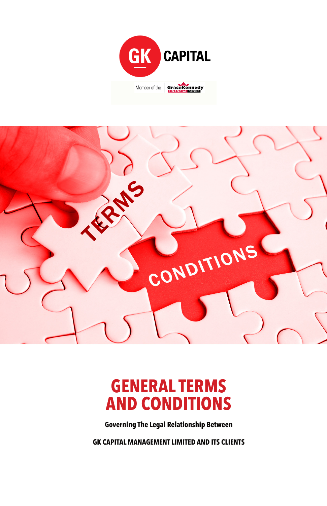



# **GENERAL TERMS AND CONDITIONS**

**Governing The Legal Relationship Between**

**GK CAPITAL MANAGEMENT LIMITED AND ITS CLIENTS**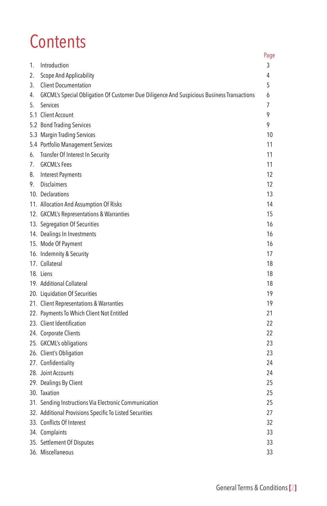# **Contents**

|    |                                                                                           | Page |
|----|-------------------------------------------------------------------------------------------|------|
| 1. | Introduction                                                                              | 3    |
| 2. | Scope And Applicability                                                                   | 4    |
| 3. | <b>Client Documentation</b>                                                               | 5    |
| 4. | GKCML's Special Obligation Of Customer Due Diligence And Suspicious Business Transactions | 6    |
| 5. | Services                                                                                  | 7    |
|    | 5.1 Client Account                                                                        | 9    |
|    | 5.2 Bond Trading Services                                                                 | 9    |
|    | 5.3 Margin Trading Services                                                               | 10   |
|    | 5.4 Portfolio Management Services                                                         | 11   |
| 6. | Transfer Of Interest In Security                                                          | 11   |
| 7. | <b>GKCML's Fees</b>                                                                       | 11   |
| 8. | <b>Interest Payments</b>                                                                  | 12   |
| 9. | <b>Disclaimers</b>                                                                        | 12   |
|    | 10. Declarations                                                                          | 13   |
|    | 11. Allocation And Assumption Of Risks                                                    | 14   |
|    | 12. GKCML's Representations & Warranties                                                  | 15   |
|    | 13. Segregation Of Securities                                                             | 16   |
|    | 14. Dealings In Investments                                                               | 16   |
|    | 15. Mode Of Payment                                                                       | 16   |
|    | 16. Indemnity & Security                                                                  | 17   |
|    | 17. Collateral                                                                            | 18   |
|    | 18. Liens                                                                                 | 18   |
|    | 19. Additional Collateral                                                                 | 18   |
|    | 20. Liquidation Of Securities                                                             | 19   |
|    | 21. Client Representations & Warranties                                                   | 19   |
|    | 22. Payments To Which Client Not Entitled                                                 | 21   |
|    | 23. Client Identification                                                                 | 22   |
|    | 24. Corporate Clients                                                                     | 22   |
|    | 25. GKCML's obligations                                                                   | 23   |
|    | 26. Client's Obligation                                                                   | 23   |
|    | 27. Confidentiality                                                                       | 24   |
|    | 28. Joint Accounts                                                                        | 24   |
|    | 29. Dealings By Client                                                                    | 25   |
|    | 30. Taxation                                                                              | 25   |
|    | 31. Sending Instructions Via Electronic Communication                                     | 25   |
|    | 32. Additional Provisions Specific To Listed Securities                                   | 27   |
|    | 33. Conflicts Of Interest                                                                 | 32   |
|    | 34. Complaints                                                                            | 33   |
|    | 35. Settlement Of Disputes                                                                | 33   |
|    | 36. Miscellaneous                                                                         | 33   |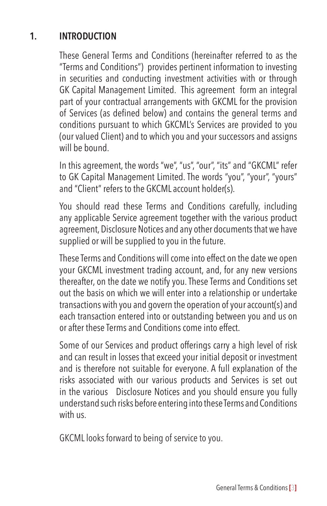#### **1. INTRODUCTION**

These General Terms and Conditions (hereinafter referred to as the "Terms and Conditions") provides pertinent information to investing in securities and conducting investment activities with or through GK Capital Management Limited. This agreement form an integral part of your contractual arrangements with GKCML for the provision of Services (as defined below) and contains the general terms and conditions pursuant to which GKCML's Services are provided to you (our valued Client) and to which you and your successors and assigns will be bound.

In this agreement, the words "we", "us", "our", "its" and "GKCML" refer to GK Capital Management Limited. The words "you", "your", "yours" and "Client" refers to the GKCML account holder(s).

You should read these Terms and Conditions carefully, including any applicable Service agreement together with the various product agreement, Disclosure Notices and any other documents that we have supplied or will be supplied to you in the future.

These Terms and Conditions will come into effect on the date we open your GKCML investment trading account, and, for any new versions thereafter, on the date we notify you. These Terms and Conditions set out the basis on which we will enter into a relationship or undertake transactions with you and govern the operation of your account(s) and each transaction entered into or outstanding between you and us on or after these Terms and Conditions come into effect.

Some of our Services and product offerings carry a high level of risk and can result in losses that exceed your initial deposit or investment and is therefore not suitable for everyone. A full explanation of the risks associated with our various products and Services is set out in the various Disclosure Notices and you should ensure you fully understand such risks before entering into these Terms and Conditions with us.

GKCML looks forward to being of service to you.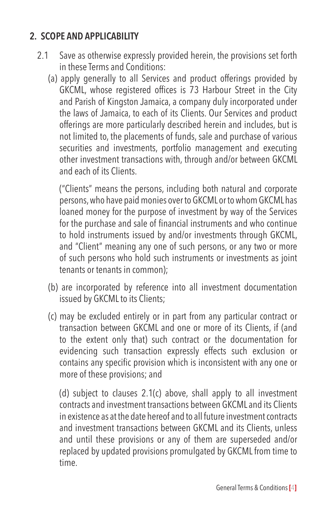#### **2. SCOPE AND APPLICABILITY**

- 2.1 Save as otherwise expressly provided herein, the provisions set forth in these Terms and Conditions:
	- (a) apply generally to all Services and product offerings provided by GKCML, whose registered offices is 73 Harbour Street in the City and Parish of Kingston Jamaica, a company duly incorporated under the laws of Jamaica, to each of its Clients. Our Services and product offerings are more particularly described herein and includes, but is not limited to, the placements of funds, sale and purchase of various securities and investments, portfolio management and executing other investment transactions with, through and/or between GKCML and each of its Clients.

("Clients" means the persons, including both natural and corporate persons, who have paid monies over to GKCML or to whom GKCML has loaned money for the purpose of investment by way of the Services for the purchase and sale of financial instruments and who continue to hold instruments issued by and/or investments through GKCML, and "Client" meaning any one of such persons, or any two or more of such persons who hold such instruments or investments as joint tenants or tenants in common);

- (b) are incorporated by reference into all investment documentation issued by GKCML to its Clients;
- (c) may be excluded entirely or in part from any particular contract or transaction between GKCML and one or more of its Clients, if (and to the extent only that) such contract or the documentation for evidencing such transaction expressly effects such exclusion or contains any specific provision which is inconsistent with any one or more of these provisions; and

(d) subject to clauses 2.1(c) above, shall apply to all investment contracts and investment transactions between GKCML and its Clients in existence as at the date hereof and to all future investment contracts and investment transactions between GKCML and its Clients, unless and until these provisions or any of them are superseded and/or replaced by updated provisions promulgated by GKCML from time to time.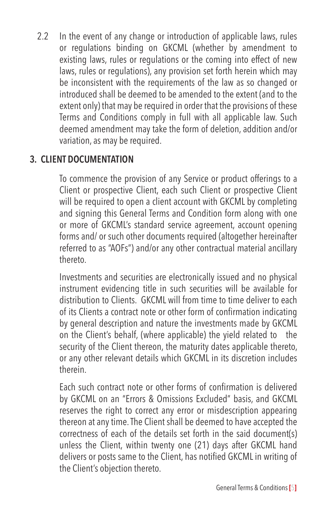2.2 In the event of any change or introduction of applicable laws, rules or regulations binding on GKCML (whether by amendment to existing laws, rules or regulations or the coming into effect of new laws, rules or regulations), any provision set forth herein which may be inconsistent with the requirements of the law as so changed or introduced shall be deemed to be amended to the extent (and to the extent only) that may be required in order that the provisions of these Terms and Conditions comply in full with all applicable law. Such deemed amendment may take the form of deletion, addition and/or variation, as may be required.

#### **3. CLIENT DOCUMENTATION**

To commence the provision of any Service or product offerings to a Client or prospective Client, each such Client or prospective Client will be required to open a client account with GKCML by completing and signing this General Terms and Condition form along with one or more of GKCML's standard service agreement, account opening forms and/ or such other documents required (altogether hereinafter referred to as "AOFs") and/or any other contractual material ancillary thereto.

Investments and securities are electronically issued and no physical instrument evidencing title in such securities will be available for distribution to Clients. GKCML will from time to time deliver to each of its Clients a contract note or other form of confirmation indicating by general description and nature the investments made by GKCML on the Client's behalf, (where applicable) the yield related to the security of the Client thereon, the maturity dates applicable thereto, or any other relevant details which GKCML in its discretion includes therein.

Each such contract note or other forms of confirmation is delivered by GKCML on an "Errors & Omissions Excluded" basis, and GKCML reserves the right to correct any error or misdescription appearing thereon at any time. The Client shall be deemed to have accepted the correctness of each of the details set forth in the said document(s) unless the Client, within twenty one (21) days after GKCML hand delivers or posts same to the Client, has notified GKCML in writing of the Client's objection thereto.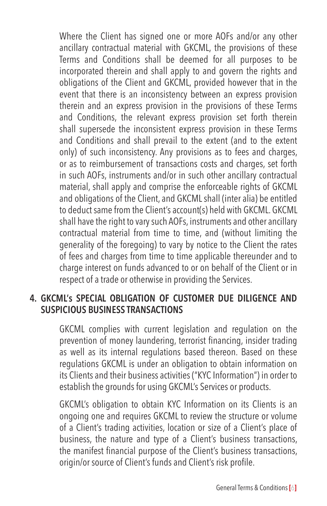Where the Client has signed one or more AOFs and/or any other ancillary contractual material with GKCML, the provisions of these Terms and Conditions shall be deemed for all purposes to be incorporated therein and shall apply to and govern the rights and obligations of the Client and GKCML, provided however that in the event that there is an inconsistency between an express provision therein and an express provision in the provisions of these Terms and Conditions, the relevant express provision set forth therein shall supersede the inconsistent express provision in these Terms and Conditions and shall prevail to the extent (and to the extent only) of such inconsistency. Any provisions as to fees and charges, or as to reimbursement of transactions costs and charges, set forth in such AOFs, instruments and/or in such other ancillary contractual material, shall apply and comprise the enforceable rights of GKCML and obligations of the Client, and GKCML shall (inter alia) be entitled to deduct same from the Client's account(s) held with GKCML. GKCML shall have the right to vary such AOFs, instruments and other ancillary contractual material from time to time, and (without limiting the generality of the foregoing) to vary by notice to the Client the rates of fees and charges from time to time applicable thereunder and to charge interest on funds advanced to or on behalf of the Client or in respect of a trade or otherwise in providing the Services.

#### **4. GKCML's SPECIAL OBLIGATION OF CUSTOMER DUE DILIGENCE AND SUSPICIOUS BUSINESS TRANSACTIONS**

GKCML complies with current legislation and regulation on the prevention of money laundering, terrorist financing, insider trading as well as its internal regulations based thereon. Based on these regulations GKCML is under an obligation to obtain information on its Clients and their business activities ("KYC Information") in order to establish the grounds for using GKCML's Services or products.

GKCML's obligation to obtain KYC Information on its Clients is an ongoing one and requires GKCML to review the structure or volume of a Client's trading activities, location or size of a Client's place of business, the nature and type of a Client's business transactions, the manifest financial purpose of the Client's business transactions, origin/or source of Client's funds and Client's risk profile.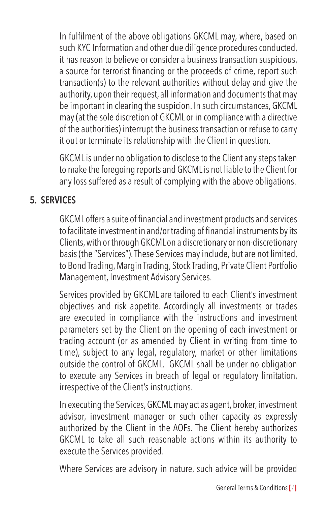In fulfilment of the above obligations GKCML may, where, based on such KYC Information and other due diligence procedures conducted, it has reason to believe or consider a business transaction suspicious, a source for terrorist financing or the proceeds of crime, report such transaction(s) to the relevant authorities without delay and give the authority, upon their request, all information and documents that may be important in clearing the suspicion. In such circumstances, GKCML may (at the sole discretion of GKCML or in compliance with a directive of the authorities) interrupt the business transaction or refuse to carry it out or terminate its relationship with the Client in question.

GKCML is under no obligation to disclose to the Client any steps taken to make the foregoing reports and GKCML is not liable to the Client for any loss suffered as a result of complying with the above obligations.

#### **5. SERVICES**

GKCML offers a suite of financial and investment products and services to facilitate investment in and/ortrading of financial instruments byits Clients, with or through GKCML on a discretionary or non-discretionary basis (the "Services"). These Services may include, but are not limited, to Bond Trading, Margin Trading, Stock Trading, Private Client Portfolio Management, Investment Advisory Services.

Services provided by GKCML are tailored to each Client's investment objectives and risk appetite. Accordingly all investments or trades are executed in compliance with the instructions and investment parameters set by the Client on the opening of each investment or trading account (or as amended by Client in writing from time to time), subject to any legal, regulatory, market or other limitations outside the control of GKCML. GKCML shall be under no obligation to execute any Services in breach of legal or regulatory limitation, irrespective of the Client's instructions.

In executing the Services, GKCML may act as agent, broker, investment advisor, investment manager or such other capacity as expressly authorized by the Client in the AOFs. The Client hereby authorizes GKCML to take all such reasonable actions within its authority to execute the Services provided.

Where Services are advisory in nature, such advice will be provided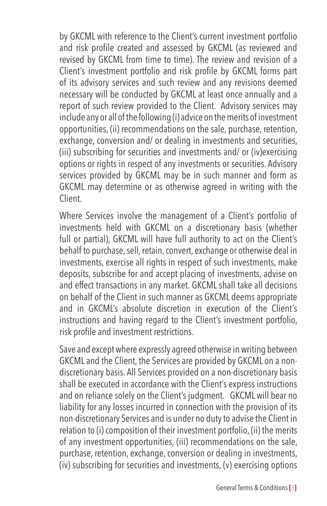by GKCML with reference to the Client's current investment portfolio and risk profile created and assessed by GKCML (as reviewed and revised by GKCML from time to time). The review and revision of a Client's investment portfolio and risk profile by GKCML forms part of its advisory services and such review and any revisions deemed necessary will be conducted by GKCML at least once annually and a report of such review provided to the Client. Advisory services may include any or all of the following (i) advice on the merits of investment opportunities, (ii) recommendations on the sale, purchase, retention, exchange, conversion and/ or dealing in investments and securities, (iii) subscribing for securities and investments and/ or (iv)exercising options or rights in respect of any investments or securities. Advisory services provided by GKCML may be in such manner and form as GKCML may determine or as otherwise agreed in writing with the Client.

Where Services involve the management of a Client's portfolio of investments held with GKCML on a discretionary basis (whether full or partial), GKCML will have full authority to act on the Client's behalf to purchase, sell, retain, convert, exchange or otherwise deal in investments, exercise all rights in respect of such investments, make deposits, subscribe for and accept placing of investments, advise on and effect transactions in any market. GKCML shall take all decisions on behalf of the Client in such manner as GKCML deems appropriate and in GKCML's absolute discretion in execution of the Client's instructions and having regard to the Client's investment portfolio, risk profile and investment restrictions.

Save and except where expressly agreed otherwise in writing between GKCML and the Client, the Services are provided by GKCML on a nondiscretionary basis. All Services provided on a non-discretionary basis shall be executed in accordance with the Client's express instructions and on reliance solely on the Client's judgment. GKCML will bear no liability for any losses incurred in connection with the provision of its non-discretionary Services and is under no duty to advise the Client in relation to (i) composition of their investment portfolio, (ii) the merits of any investment opportunities, (iii) recommendations on the sale, purchase, retention, exchange, conversion or dealing in investments, (iv) subscribing for securities and investments, (v) exercising options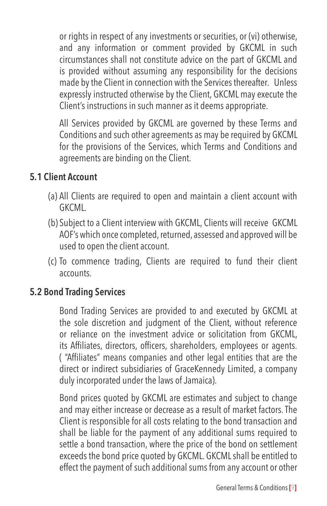or rights in respect of any investments or securities, or (vi) otherwise, and any information or comment provided by GKCML in such circumstances shall not constitute advice on the part of GKCML and is provided without assuming any responsibility for the decisions made by the Client in connection with the Services thereafter. Unless expressly instructed otherwise by the Client, GKCML may execute the Client's instructions in such manner as it deems appropriate.

All Services provided by GKCML are governed by these Terms and Conditions and such other agreements as may be required by GKCML for the provisions of the Services, which Terms and Conditions and agreements are binding on the Client.

#### **5.1 Client Account**

- (a) All Clients are required to open and maintain a client account with **GKCML**
- (b) Subject to a Client interview with GKCML, Clients will receive GKCML AOF's which once completed, returned, assessed and approved will be used to open the client account.
- (c) To commence trading, Clients are required to fund their client accounts.

#### **5.2 Bond Trading Services**

Bond Trading Services are provided to and executed by GKCML at the sole discretion and judgment of the Client, without reference or reliance on the investment advice or solicitation from GKCML, its Affiliates, directors, officers, shareholders, employees or agents. ( "Affiliates" means companies and other legal entities that are the direct or indirect subsidiaries of GraceKennedy Limited, a company duly incorporated under the laws of Jamaica).

Bond prices quoted by GKCML are estimates and subject to change and may either increase or decrease as a result of market factors. The Client is responsible for all costs relating to the bond transaction and shall be liable for the payment of any additional sums required to settle a bond transaction, where the price of the bond on settlement exceeds the bond price quoted by GKCML. GKCML shall be entitled to effect the payment of such additional sums from any account or other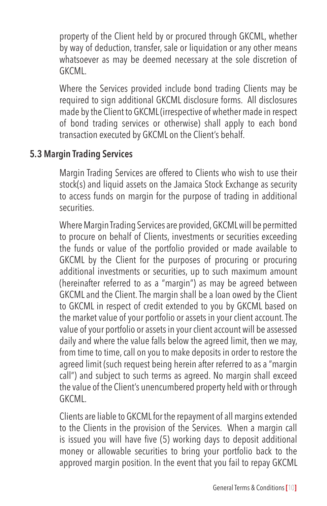property of the Client held by or procured through GKCML, whether by way of deduction, transfer, sale or liquidation or any other means whatsoever as may be deemed necessary at the sole discretion of GKCML.

Where the Services provided include bond trading Clients may be required to sign additional GKCML disclosure forms. All disclosures made by the Client to GKCML (irrespective of whether made in respect of bond trading services or otherwise) shall apply to each bond transaction executed by GKCML on the Client's behalf.

#### **5.3 Margin Trading Services**

Margin Trading Services are offered to Clients who wish to use their stock(s) and liquid assets on the Jamaica Stock Exchange as security to access funds on margin for the purpose of trading in additional securities.

Where Margin Trading Services are provided, GKCML will be permitted to procure on behalf of Clients, investments or securities exceeding the funds or value of the portfolio provided or made available to GKCML by the Client for the purposes of procuring or procuring additional investments or securities, up to such maximum amount (hereinafter referred to as a "margin") as may be agreed between GKCML and the Client. The margin shall be a loan owed by the Client to GKCML in respect of credit extended to you by GKCML based on the market value of your portfolio or assets in your client account. The value of your portfolio or assets in your client account will be assessed daily and where the value falls below the agreed limit, then we may, from time to time, call on you to make deposits in order to restore the agreed limit (such request being herein after referred to as a "margin call") and subject to such terms as agreed. No margin shall exceed the value of the Client's unencumbered property held with or through GKCML.

Clients are liable to GKCML for the repayment of all margins extended to the Clients in the provision of the Services. When a margin call is issued you will have five (5) working days to deposit additional money or allowable securities to bring your portfolio back to the approved margin position. In the event that you fail to repay GKCML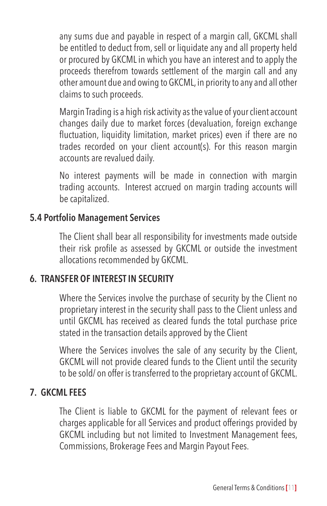any sums due and payable in respect of a margin call, GKCML shall be entitled to deduct from, sell or liquidate any and all property held or procured by GKCML in which you have an interest and to apply the proceeds therefrom towards settlement of the margin call and any other amount due and owing to GKCML, in priority to any and all other claims to such proceeds.

Margin Trading is a high risk activity as the value of your client account changes daily due to market forces (devaluation, foreign exchange fluctuation, liquidity limitation, market prices) even if there are no trades recorded on your client account(s). For this reason margin accounts are revalued daily.

No interest payments will be made in connection with margin trading accounts. Interest accrued on margin trading accounts will be capitalized.

#### **5.4 Portfolio Management Services**

The Client shall bear all responsibility for investments made outside their risk profile as assessed by GKCML or outside the investment allocations recommended by GKCML.

#### **6. TRANSFER OF INTEREST IN SECURITY**

Where the Services involve the purchase of security by the Client no proprietary interest in the security shall pass to the Client unless and until GKCML has received as cleared funds the total purchase price stated in the transaction details approved by the Client

Where the Services involves the sale of any security by the Client, GKCML will not provide cleared funds to the Client until the security to be sold/ on offer is transferred to the proprietary account of GKCML.

#### **7. GKCML FEES**

The Client is liable to GKCML for the payment of relevant fees or charges applicable for all Services and product offerings provided by GKCML including but not limited to Investment Management fees, Commissions, Brokerage Fees and Margin Payout Fees.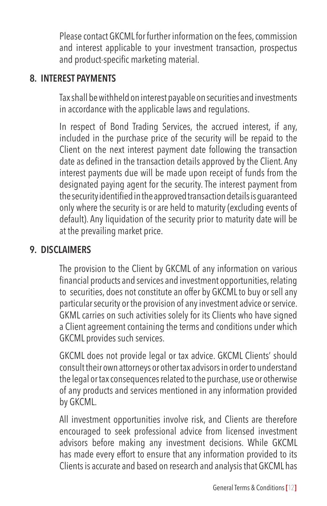Please contact GKCML for further information on the fees, commission and interest applicable to your investment transaction, prospectus and product-specific marketing material.

#### **8. INTEREST PAYMENTS**

Tax shall be withheld on interest payable on securities and investments in accordance with the applicable laws and regulations.

In respect of Bond Trading Services, the accrued interest, if any, included in the purchase price of the security will be repaid to the Client on the next interest payment date following the transaction date as defined in the transaction details approved by the Client. Any interest payments due will be made upon receipt of funds from the designated paying agent for the security. The interest payment from thesecurityidentifiedintheapprovedtransactiondetailsisguaranteed only where the security is or are held to maturity (excluding events of default). Any liquidation of the security prior to maturity date will be at the prevailing market price.

#### **9. DISCLAIMERS**

The provision to the Client by GKCML of any information on various financial products and services and investment opportunities,relating to securities, does not constitute an offer by GKCML to buy or sell any particular security or the provision of any investment advice or service. GKML carries on such activities solely for its Clients who have signed a Client agreement containing the terms and conditions under which GKCML provides such services.

GKCML does not provide legal or tax advice. GKCML Clients' should consult their own attorneys or other tax advisors in order to understand the legal or tax consequences related to the purchase, use or otherwise of any products and services mentioned in any information provided by GKCML.

All investment opportunities involve risk, and Clients are therefore encouraged to seek professional advice from licensed investment advisors before making any investment decisions. While GKCML has made every effort to ensure that any information provided to its Clients is accurate and based on research and analysis that GKCML has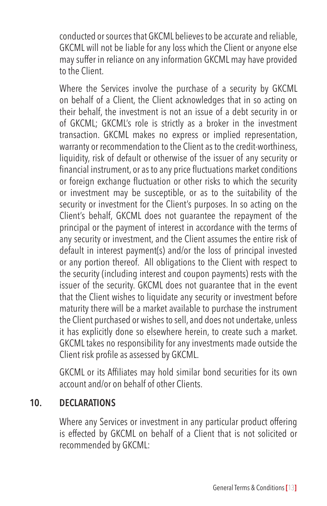conducted or sources that GKCML believes to be accurate and reliable, GKCML will not be liable for any loss which the Client or anyone else may suffer in reliance on any information GKCML may have provided to the Client.

Where the Services involve the purchase of a security by GKCML on behalf of a Client, the Client acknowledges that in so acting on their behalf, the investment is not an issue of a debt security in or of GKCML; GKCML's role is strictly as a broker in the investment transaction. GKCML makes no express or implied representation, warranty or recommendation to the Client as to the credit-worthiness, liquidity, risk of default or otherwise of the issuer of any security or financial instrument, or as to any price fluctuations market conditions or foreign exchange fluctuation or other risks to which the security or investment may be susceptible, or as to the suitability of the security or investment for the Client's purposes. In so acting on the Client's behalf, GKCML does not guarantee the repayment of the principal or the payment of interest in accordance with the terms of any security or investment, and the Client assumes the entire risk of default in interest payment(s) and/or the loss of principal invested or any portion thereof. All obligations to the Client with respect to the security (including interest and coupon payments) rests with the issuer of the security. GKCML does not guarantee that in the event that the Client wishes to liquidate any security or investment before maturity there will be a market available to purchase the instrument the Client purchased or wishes to sell, and does not undertake, unless it has explicitly done so elsewhere herein, to create such a market. GKCML takes no responsibility for any investments made outside the Client risk profile as assessed by GKCML.

GKCML or its Affiliates may hold similar bond securities for its own account and/or on behalf of other Clients.

#### **10. DECLARATIONS**

Where any Services or investment in any particular product offering is effected by GKCML on behalf of a Client that is not solicited or recommended by GKCML: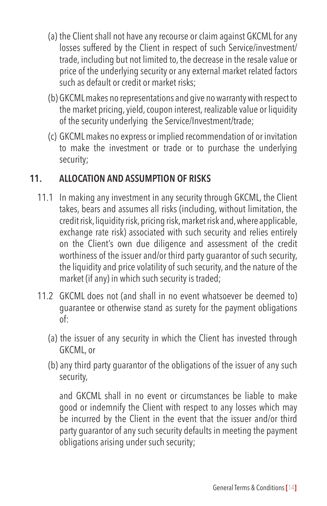- (a) the Client shall not have any recourse or claim against GKCML for any losses suffered by the Client in respect of such Service/investment/ trade, including but not limited to, the decrease in the resale value or price of the underlying security or any external market related factors such as default or credit or market risks;
- (b) GKCML makes no representations and give no warranty with respect to the market pricing, yield, coupon interest, realizable value or liquidity of the security underlying the Service/Investment/trade;
- (c) GKCML makes no express or implied recommendation of or invitation to make the investment or trade or to purchase the underlying security;

#### **11. ALLOCATION AND ASSUMPTION OF RISKS**

- 11.1 In making any investment in any security through GKCML, the Client takes, bears and assumes all risks (including, without limitation, the credit risk, liquidity risk, pricing risk, market risk and, where applicable, exchange rate risk) associated with such security and relies entirely on the Client's own due diligence and assessment of the credit worthiness of the issuer and/or third party guarantor of such security, the liquidity and price volatility of such security, and the nature of the market (if any) in which such security is traded;
- 11.2 GKCML does not (and shall in no event whatsoever be deemed to) guarantee or otherwise stand as surety for the payment obligations of:
	- (a) the issuer of any security in which the Client has invested through GKCML, or
	- (b) any third party guarantor of the obligations of the issuer of any such security,

and GKCML shall in no event or circumstances be liable to make good or indemnify the Client with respect to any losses which may be incurred by the Client in the event that the issuer and/or third party guarantor of any such security defaults in meeting the payment obligations arising under such security;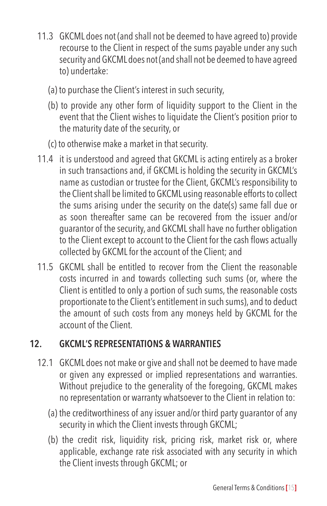- 11.3 GKCML does not (and shall not be deemed to have agreed to) provide recourse to the Client in respect of the sums payable under any such security and GKCML does not (and shall not be deemed to have agreed to) undertake:
	- (a) to purchase the Client's interest in such security,
	- (b) to provide any other form of liquidity support to the Client in the event that the Client wishes to liquidate the Client's position prior to the maturity date of the security, or
	- (c) to otherwise make a market in that security.
- 11.4 it is understood and agreed that GKCML is acting entirely as a broker in such transactions and, if GKCML is holding the security in GKCML's name as custodian or trustee for the Client, GKCML's responsibility to the Client shall be limited to GKCML using reasonable efforts to collect the sums arising under the security on the date(s) same fall due or as soon thereafter same can be recovered from the issuer and/or guarantor of the security, and GKCML shall have no further obligation to the Client except to account to the Client for the cash flows actually collected by GKCML for the account of the Client; and
- 11.5 GKCML shall be entitled to recover from the Client the reasonable costs incurred in and towards collecting such sums (or, where the Client is entitled to only a portion of such sums, the reasonable costs proportionate to the Client's entitlement in such sums), and to deduct the amount of such costs from any moneys held by GKCML for the account of the Client.

#### **12. GKCML'S REPRESENTATIONS & WARRANTIES**

- 12.1 GKCML does not make or give and shall not be deemed to have made or given any expressed or implied representations and warranties. Without prejudice to the generality of the foregoing, GKCML makes no representation or warranty whatsoever to the Client in relation to:
	- (a) the creditworthiness of any issuer and/or third party guarantor of any security in which the Client invests through GKCML;
	- (b) the credit risk, liquidity risk, pricing risk, market risk or, where applicable, exchange rate risk associated with any security in which the Client invests through GKCML; or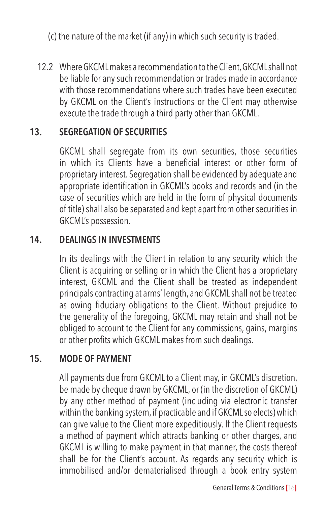(c) the nature of the market (if any) in which such security is traded.

12.2 Where GKCML makes a recommendation to the Client, GKCML shall not be liable for any such recommendation or trades made in accordance with those recommendations where such trades have been executed by GKCML on the Client's instructions or the Client may otherwise execute the trade through a third party other than GKCML.

#### **13. SEGREGATION OF SECURITIES**

GKCML shall segregate from its own securities, those securities in which its Clients have a beneficial interest or other form of proprietary interest. Segregation shall be evidenced by adequate and appropriate identification in GKCML's books and records and (in the case of securities which are held in the form of physical documents of title) shall also be separated and kept apart from other securities in GKCML's possession.

# **14. DEALINGS IN INVESTMENTS**

In its dealings with the Client in relation to any security which the Client is acquiring or selling or in which the Client has a proprietary interest, GKCML and the Client shall be treated as independent principals contracting at arms' length, and GKCML shall not be treated as owing fiduciary obligations to the Client. Without prejudice to the generality of the foregoing, GKCML may retain and shall not be obliged to account to the Client for any commissions, gains, margins or other profits which GKCML makes from such dealings.

#### **15. MODE OF PAYMENT**

All payments due from GKCML to a Client may, in GKCML's discretion, be made by cheque drawn by GKCML, or (in the discretion of GKCML) by any other method of payment (including via electronic transfer within the banking system, if practicable and if GKCML so elects) which can give value to the Client more expeditiously. If the Client requests a method of payment which attracts banking or other charges, and GKCML is willing to make payment in that manner, the costs thereof shall be for the Client's account. As regards any security which is immobilised and/or dematerialised through a book entry system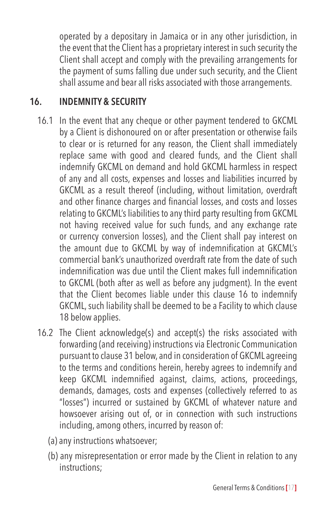operated by a depositary in Jamaica or in any other jurisdiction, in the event that the Client has a proprietary interest in such security the Client shall accept and comply with the prevailing arrangements for the payment of sums falling due under such security, and the Client shall assume and bear all risks associated with those arrangements.

#### **16. INDEMNITY & SECURITY**

- 16.1 In the event that any cheque or other payment tendered to GKCML by a Client is dishonoured on or after presentation or otherwise fails to clear or is returned for any reason, the Client shall immediately replace same with good and cleared funds, and the Client shall indemnify GKCML on demand and hold GKCML harmless in respect of any and all costs, expenses and losses and liabilities incurred by GKCML as a result thereof (including, without limitation, overdraft and other finance charges and financial losses, and costs and losses relating to GKCML's liabilities to any third party resulting from GKCML not having received value for such funds, and any exchange rate or currency conversion losses), and the Client shall pay interest on the amount due to GKCML by way of indemnification at GKCML's commercial bank's unauthorized overdraft rate from the date of such indemnification was due until the Client makes full indemnification to GKCML (both after as well as before any judgment). In the event that the Client becomes liable under this clause 16 to indemnify GKCML, such liability shall be deemed to be a Facility to which clause 18 below applies.
- 16.2 The Client acknowledge(s) and accept(s) the risks associated with forwarding (and receiving) instructions via Electronic Communication pursuant to clause 31 below, and in consideration of GKCML agreeing to the terms and conditions herein, hereby agrees to indemnify and keep GKCML indemnified against, claims, actions, proceedings, demands, damages, costs and expenses (collectively referred to as "losses") incurred or sustained by GKCML of whatever nature and howsoever arising out of, or in connection with such instructions including, among others, incurred by reason of:
	- (a) any instructions whatsoever;
	- (b) any misrepresentation or error made by the Client in relation to any instructions;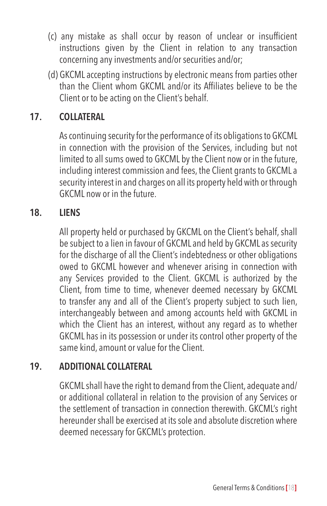- (c) any mistake as shall occur by reason of unclear or insufficient instructions given by the Client in relation to any transaction concerning any investments and/or securities and/or;
- (d) GKCML accepting instructions by electronic means from parties other than the Client whom GKCML and/or its Affiliates believe to be the Client or to be acting on the Client's behalf.

#### **17. COLLATERAL**

As continuing security for the performance of its obligations to GKCML in connection with the provision of the Services, including but not limited to all sums owed to GKCML by the Client now or in the future, including interest commission and fees, the Client grants to GKCML a security interest in and charges on all its property held with or through GKCML now or in the future.

#### **18. LIENS**

All property held or purchased by GKCML on the Client's behalf, shall be subject to a lien in favour of GKCML and held by GKCML as security for the discharge of all the Client's indebtedness or other obligations owed to GKCML however and whenever arising in connection with any Services provided to the Client. GKCML is authorized by the Client, from time to time, whenever deemed necessary by GKCML to transfer any and all of the Client's property subject to such lien, interchangeably between and among accounts held with GKCML in which the Client has an interest, without any regard as to whether GKCML has in its possession or under its control other property of the same kind, amount or value for the Client.

#### **19. ADDITIONAL COLLATERAL**

GKCML shall have the right to demand from the Client, adequate and/ or additional collateral in relation to the provision of any Services or the settlement of transaction in connection therewith. GKCML's right hereunder shall be exercised at its sole and absolute discretion where deemed necessary for GKCML's protection.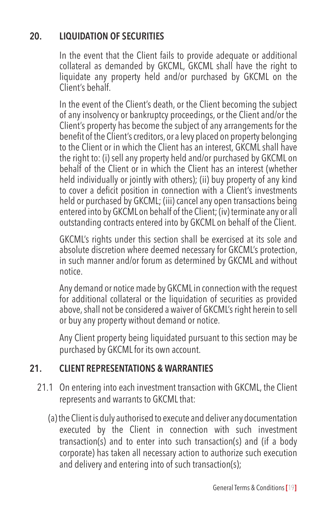# **20. LIQUIDATION OF SECURITIES**

In the event that the Client fails to provide adequate or additional collateral as demanded by GKCML, GKCML shall have the right to liquidate any property held and/or purchased by GKCML on the Client's behalf.

In the event of the Client's death, or the Client becoming the subject of any insolvency or bankruptcy proceedings, or the Client and/or the Client's property has become the subject of any arrangements for the benefit of the Client's creditors, or a levy placed on property belonging to the Client or in which the Client has an interest, GKCML shall have the right to: (i) sell any property held and/or purchased by GKCML on behalf of the Client or in which the Client has an interest (whether held individually or jointly with others); (ii) buy property of any kind to cover a deficit position in connection with a Client's investments held or purchased by GKCML; (iii) cancel any open transactions being entered into by GKCML on behalf of the Client; (iv) terminate any or all outstanding contracts entered into by GKCML on behalf of the Client.

GKCML's rights under this section shall be exercised at its sole and absolute discretion where deemed necessary for GKCML's protection, in such manner and/or forum as determined by GKCML and without notice.

Any demand or notice made by GKCML in connection with the request for additional collateral or the liquidation of securities as provided above, shall not be considered a waiver of GKCML's right herein to sell or buy any property without demand or notice.

Any Client property being liquidated pursuant to this section may be purchased by GKCML for its own account.

#### **21. CLIENT REPRESENTATIONS & WARRANTIES**

- 21.1 On entering into each investment transaction with GKCML, the Client represents and warrants to GKCML that:
	- (a) the Client is duly authorised to execute and deliver any documentation executed by the Client in connection with such investment transaction(s) and to enter into such transaction(s) and (if a body corporate) has taken all necessary action to authorize such execution and delivery and entering into of such transaction(s);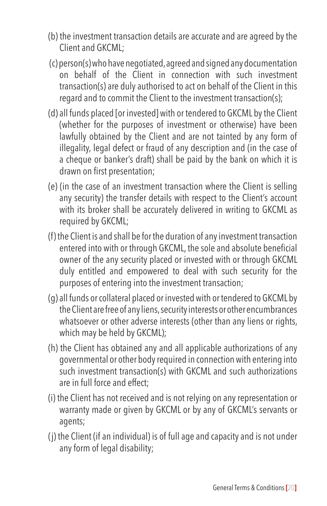- (b) the investment transaction details are accurate and are agreed by the Client and GKCML;
- (c) person(s) who have negotiated, agreed and signed any documentation on behalf of the Client in connection with such investment transaction(s) are duly authorised to act on behalf of the Client in this regard and to commit the Client to the investment transaction(s);
- (d) all funds placed [or invested] with or tendered to GKCML by the Client (whether for the purposes of investment or otherwise) have been lawfully obtained by the Client and are not tainted by any form of illegality, legal defect or fraud of any description and (in the case of a cheque or banker's draft) shall be paid by the bank on which it is drawn on first presentation;
- (e) (in the case of an investment transaction where the Client is selling any security) the transfer details with respect to the Client's account with its broker shall be accurately delivered in writing to GKCML as required by GKCML;
- (f) the Client is and shall be for the duration of any investment transaction entered into with or through GKCML, the sole and absolute beneficial owner of the any security placed or invested with or through GKCML duly entitled and empowered to deal with such security for the purposes of entering into the investment transaction;
- (g) all funds or collateral placed or invested with or tendered to GKCML by the Client are free of any liens, security interests or other encumbrances whatsoever or other adverse interests (other than any liens or rights, which may be held by GKCML);
- (h) the Client has obtained any and all applicable authorizations of any governmental or other body required in connection with entering into such investment transaction(s) with GKCML and such authorizations are in full force and effect;
- (i) the Client has not received and is not relying on any representation or warranty made or given by GKCML or by any of GKCML's servants or agents;
- (j) the Client (if an individual) is of full age and capacity and is not under any form of legal disability;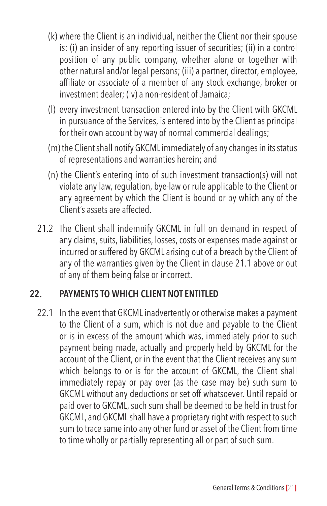- (k) where the Client is an individual, neither the Client nor their spouse is: (i) an insider of any reporting issuer of securities; (ii) in a control position of any public company, whether alone or together with other natural and/or legal persons; (iii) a partner, director, employee, affiliate or associate of a member of any stock exchange, broker or investment dealer; (iv) a non-resident of Jamaica;
- (l) every investment transaction entered into by the Client with GKCML in pursuance of the Services, is entered into by the Client as principal for their own account by way of normal commercial dealings;
- (m) the Client shall notify GKCML immediately of any changes in its status of representations and warranties herein; and
- (n) the Client's entering into of such investment transaction(s) will not violate any law, regulation, bye-law or rule applicable to the Client or any agreement by which the Client is bound or by which any of the Client's assets are affected.
- 21.2 The Client shall indemnify GKCML in full on demand in respect of any claims, suits, liabilities, losses, costs or expenses made against or incurred or suffered by GKCML arising out of a breach by the Client of any of the warranties given by the Client in clause 21.1 above or out of any of them being false or incorrect.

#### **22. PAYMENTS TO WHICH CLIENT NOT ENTITLED**

22.1 In the event that GKCML inadvertently or otherwise makes a payment to the Client of a sum, which is not due and payable to the Client or is in excess of the amount which was, immediately prior to such payment being made, actually and properly held by GKCML for the account of the Client, or in the event that the Client receives any sum which belongs to or is for the account of GKCML, the Client shall immediately repay or pay over (as the case may be) such sum to GKCML without any deductions or set off whatsoever. Until repaid or paid over to GKCML, such sum shall be deemed to be held in trust for GKCML, and GKCML shall have a proprietary right with respect to such sum to trace same into any other fund or asset of the Client from time to time wholly or partially representing all or part of such sum.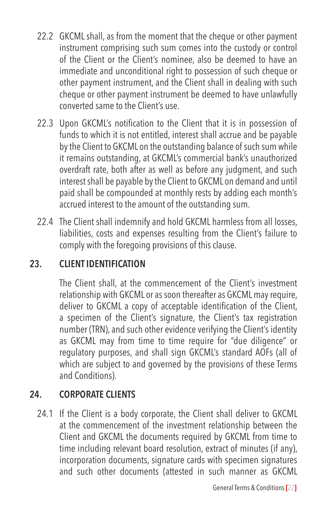- 22.2 GKCML shall, as from the moment that the cheque or other payment instrument comprising such sum comes into the custody or control of the Client or the Client's nominee, also be deemed to have an immediate and unconditional right to possession of such cheque or other payment instrument, and the Client shall in dealing with such cheque or other payment instrument be deemed to have unlawfully converted same to the Client's use.
- 22.3 Upon GKCML's notification to the Client that it is in possession of funds to which it is not entitled, interest shall accrue and be payable by the Client to GKCML on the outstanding balance of such sum while it remains outstanding, at GKCML's commercial bank's unauthorized overdraft rate, both after as well as before any judgment, and such interest shall be payable by the Client to GKCML on demand and until paid shall be compounded at monthly rests by adding each month's accrued interest to the amount of the outstanding sum.
- 22.4 The Client shall indemnify and hold GKCML harmless from all losses, liabilities, costs and expenses resulting from the Client's failure to comply with the foregoing provisions of this clause.

# **23. CLIENT IDENTIFICATION**

The Client shall, at the commencement of the Client's investment relationship with GKCML or as soon thereafter as GKCML may require, deliver to GKCML a copy of acceptable identification of the Client, a specimen of the Client's signature, the Client's tax registration number (TRN), and such other evidence verifying the Client's identity as GKCML may from time to time require for "due diligence" or regulatory purposes, and shall sign GKCML's standard AOFs (all of which are subject to and governed by the provisions of these Terms and Conditions).

# **24. CORPORATE CLIENTS**

24.1 If the Client is a body corporate, the Client shall deliver to GKCML at the commencement of the investment relationship between the Client and GKCML the documents required by GKCML from time to time including relevant board resolution, extract of minutes (if any), incorporation documents, signature cards with specimen signatures and such other documents (attested in such manner as GKCML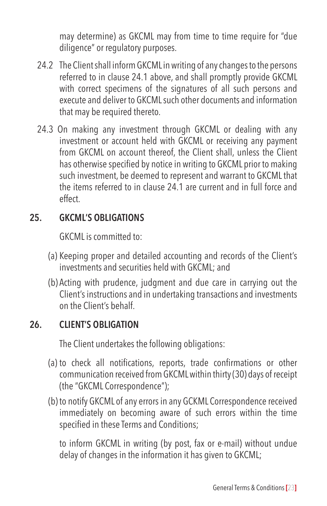may determine) as GKCML may from time to time require for "due diligence" or regulatory purposes.

- 24.2 The Client shall inform GKCML in writing of any changes to the persons referred to in clause 24.1 above, and shall promptly provide GKCML with correct specimens of the signatures of all such persons and execute and deliver to GKCML such other documents and information that may be required thereto.
- 24.3 On making any investment through GKCML or dealing with any investment or account held with GKCML or receiving any payment from GKCML on account thereof, the Client shall, unless the Client has otherwise specified by notice in writing to GKCML prior to making such investment, be deemed to represent and warrant to GKCML that the items referred to in clause 24.1 are current and in full force and effect.

#### **25. GKCML'S OBLIGATIONS**

GKCML is committed to:

- (a) Keeping proper and detailed accounting and records of the Client's investments and securities held with GKCML; and
- (b) Acting with prudence, judgment and due care in carrying out the Client's instructions and in undertaking transactions and investments on the Client's behalf.

# **26. CLIENT'S OBLIGATION**

The Client undertakes the following obligations:

- (a) to check all notifications, reports, trade confirmations or other communication received from GKCML within thirty (30) days of receipt (the "GKCML Correspondence");
- (b) to notify GKCML of any errors in any GCKML Correspondence received immediately on becoming aware of such errors within the time specified in these Terms and Conditions;

to inform GKCML in writing (by post, fax or e-mail) without undue delay of changes in the information it has given to GKCML;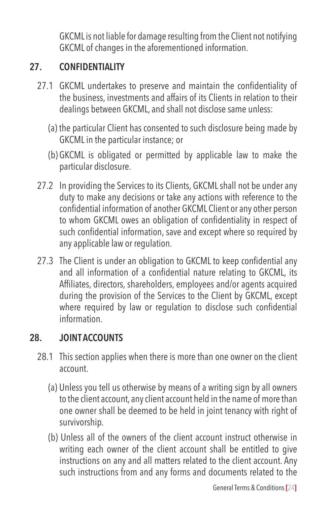GKCML is not liable for damage resulting from the Client not notifying GKCML of changes in the aforementioned information.

#### **27. CONFIDENTIALITY**

- 27.1 GKCML undertakes to preserve and maintain the confidentiality of the business, investments and affairs of its Clients in relation to their dealings between GKCML, and shall not disclose same unless:
	- (a) the particular Client has consented to such disclosure being made by GKCML in the particular instance; or
	- (b) GKCML is obligated or permitted by applicable law to make the particular disclosure.
- 27.2 In providing the Services to its Clients, GKCML shall not be under any duty to make any decisions or take any actions with reference to the confidential information of another GKCML Client or any other person to whom GKCML owes an obligation of confidentiality in respect of such confidential information, save and except where so required by any applicable law or regulation.
- 27.3 The Client is under an obligation to GKCML to keep confidential any and all information of a confidential nature relating to GKCML, its Affiliates, directors, shareholders, employees and/or agents acquired during the provision of the Services to the Client by GKCML, except where required by law or regulation to disclose such confidential information.

#### **28. JOINT ACCOUNTS**

- 28.1 This section applies when there is more than one owner on the client account.
	- (a) Unless you tell us otherwise by means of a writing sign by all owners to the client account, any client account held in the name of more than one owner shall be deemed to be held in joint tenancy with right of survivorship.
	- (b) Unless all of the owners of the client account instruct otherwise in writing each owner of the client account shall be entitled to give instructions on any and all matters related to the client account. Any such instructions from and any forms and documents related to the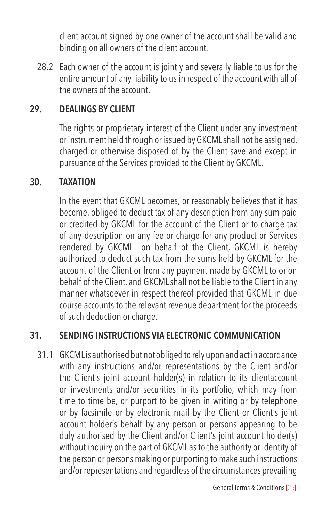client account signed by one owner of the account shall be valid and binding on all owners of the client account.

28.2 Each owner of the account is jointly and severally liable to us for the entire amount of any liability to us in respect of the account with all of the owners of the account.

#### **29. DEALINGS BY CLIENT**

The rights or proprietary interest of the Client under any investment or instrument held through or issued by GKCML shall not be assigned, charged or otherwise disposed of by the Client save and except in pursuance of the Services provided to the Client by GKCML.

#### **30. TAXATION**

In the event that GKCML becomes, or reasonably believes that it has become, obliged to deduct tax of any description from any sum paid or credited by GKCML for the account of the Client or to charge tax of any description on any fee or charge for any product or Services rendered by GKCML on behalf of the Client, GKCML is hereby authorized to deduct such tax from the sums held by GKCML for the account of the Client or from any payment made by GKCML to or on behalf of the Client, and GKCML shall not be liable to the Client in any manner whatsoever in respect thereof provided that GKCML in due course accounts to the relevant revenue department for the proceeds of such deduction or charge.

# **31. SENDING INSTRUCTIONS VIA ELECTRONIC COMMUNICATION**

31.1 GKCML is authorised but not obliged to rely upon and act in accordance with any instructions and/or representations by the Client and/or the Client's joint account holder(s) in relation to its clientaccount or investments and/or securities in its portfolio, which may from time to time be, or purport to be given in writing or by telephone or by facsimile or by electronic mail by the Client or Client's joint account holder's behalf by any person or persons appearing to be duly authorised by the Client and/or Client's joint account holder(s) without inquiry on the part of GKCML as to the authority or identity of the person or persons making or purporting to make such instructions and/or representations and regardless of the circumstances prevailing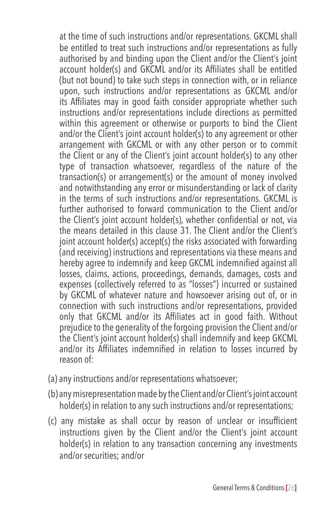at the time of such instructions and/or representations. GKCML shall be entitled to treat such instructions and/or representations as fully authorised by and binding upon the Client and/or the Client's joint account holder(s) and GKCML and/or its Affiliates shall be entitled (but not bound) to take such steps in connection with, or in reliance upon, such instructions and/or representations as GKCML and/or its Affiliates may in good faith consider appropriate whether such instructions and/or representations include directions as permitted within this agreement or otherwise or purports to bind the Client and/or the Client's joint account holder(s) to any agreement or other arrangement with GKCML or with any other person or to commit the Client or any of the Client's joint account holder(s) to any other type of transaction whatsoever, regardless of the nature of the transaction(s) or arrangement(s) or the amount of money involved and notwithstanding any error or misunderstanding or lack of clarity in the terms of such instructions and/or representations. GKCML is further authorised to forward communication to the Client and/or the Client's joint account holder(s), whether confidential or not, via the means detailed in this clause 31. The Client and/or the Client's joint account holder(s) accept(s) the risks associated with forwarding (and receiving) instructions and representations via these means and hereby agree to indemnify and keep GKCML indemnified against all losses, claims, actions, proceedings, demands, damages, costs and expenses (collectively referred to as "losses") incurred or sustained by GKCML of whatever nature and howsoever arising out of, or in connection with such instructions and/or representations, provided only that GKCML and/or its Affiliates act in good faith. Without prejudice to the generality of the forgoing provision the Client and/or the Client's joint account holder(s) shall indemnify and keep GKCML and/or its Affiliates indemnified in relation to losses incurred by reason of:

- (a) any instructions and/or representations whatsoever;
- (b) any misrepresentation made by the Client and/or Client's joint account holder(s) in relation to any such instructions and/or representations;
- (c) any mistake as shall occur by reason of unclear or insufficient instructions given by the Client and/or the Client's joint account holder(s) in relation to any transaction concerning any investments and/or securities; and/or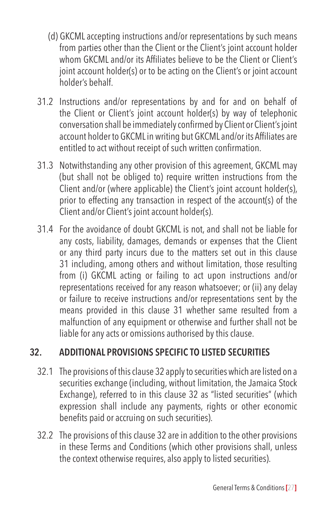- (d) GKCML accepting instructions and/or representations by such means from parties other than the Client or the Client's joint account holder whom GKCML and/or its Affiliates believe to be the Client or Client's joint account holder(s) or to be acting on the Client's or joint account holder's behalf.
- 31.2 Instructions and/or representations by and for and on behalf of the Client or Client's joint account holder(s) by way of telephonic conversation shall be immediatelyconfirmed by Client or Client'sjoint account holder to GKCMLin writing but GKCML and/or its Affiliates are entitled to act without receipt of such written confirmation.
- 31.3 Notwithstanding any other provision of this agreement, GKCML may (but shall not be obliged to) require written instructions from the Client and/or (where applicable) the Client's joint account holder(s), prior to effecting any transaction in respect of the account(s) of the Client and/or Client's joint account holder(s).
- 31.4 For the avoidance of doubt GKCML is not, and shall not be liable for any costs, liability, damages, demands or expenses that the Client or any third party incurs due to the matters set out in this clause 31 including, among others and without limitation, those resulting from (i) GKCML acting or failing to act upon instructions and/or representations received for any reason whatsoever; or (ii) any delay or failure to receive instructions and/or representations sent by the means provided in this clause 31 whether same resulted from a malfunction of any equipment or otherwise and further shall not be liable for any acts or omissions authorised by this clause.

#### **32. ADDITIONAL PROVISIONS SPECIFIC TO LISTED SECURITIES**

- 32.1 The provisions of this clause 32 apply to securities which are listed on a securities exchange (including, without limitation, the Jamaica Stock Exchange), referred to in this clause 32 as "listed securities" (which expression shall include any payments, rights or other economic benefits paid or accruing on such securities).
- 32.2 The provisions of this clause 32 are in addition to the other provisions in these Terms and Conditions (which other provisions shall, unless the context otherwise requires, also apply to listed securities).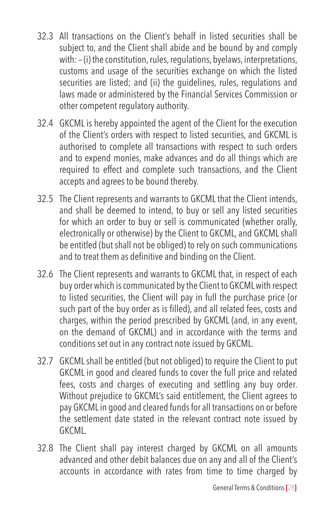- 32.3 All transactions on the Client's behalf in listed securities shall be subject to, and the Client shall abide and be bound by and comply with: – (i) the constitution, rules, regulations, byelaws, interpretations, customs and usage of the securities exchange on which the listed securities are listed; and (ii) the guidelines, rules, regulations and laws made or administered by the Financial Services Commission or other competent regulatory authority.
- 32.4 GKCML is hereby appointed the agent of the Client for the execution of the Client's orders with respect to listed securities, and GKCML is authorised to complete all transactions with respect to such orders and to expend monies, make advances and do all things which are required to effect and complete such transactions, and the Client accepts and agrees to be bound thereby.
- 32.5 The Client represents and warrants to GKCML that the Client intends, and shall be deemed to intend, to buy or sell any listed securities for which an order to buy or sell is communicated (whether orally, electronically or otherwise) by the Client to GKCML, and GKCML shall be entitled (but shall not be obliged) to rely on such communications and to treat them as definitive and binding on the Client.
- 32.6 The Client represents and warrants to GKCML that, in respect of each buy order which is communicated by the Client to GKCML with respect to listed securities, the Client will pay in full the purchase price (or such part of the buy order as is filled), and all related fees, costs and charges, within the period prescribed by GKCML (and, in any event, on the demand of GKCML) and in accordance with the terms and conditions set out in any contract note issued by GKCML.
- 32.7 GKCML shall be entitled (but not obliged) to require the Client to put GKCML in good and cleared funds to cover the full price and related fees, costs and charges of executing and settling any buy order. Without prejudice to GKCML's said entitlement, the Client agrees to pay GKCML in good and cleared funds for all transactions on or before the settlement date stated in the relevant contract note issued by GKCML.
- 32.8 The Client shall pay interest charged by GKCML on all amounts advanced and other debit balances due on any and all of the Client's accounts in accordance with rates from time to time charged by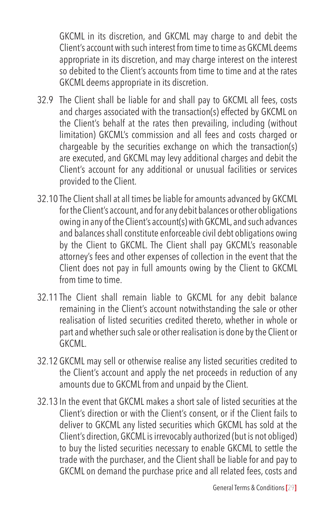GKCML in its discretion, and GKCML may charge to and debit the Client's account with such interest from time to time as GKCML deems appropriate in its discretion, and may charge interest on the interest so debited to the Client's accounts from time to time and at the rates GKCML deems appropriate in its discretion.

- 32.9 The Client shall be liable for and shall pay to GKCML all fees, costs and charges associated with the transaction(s) effected by GKCML on the Client's behalf at the rates then prevailing, including (without limitation) GKCML's commission and all fees and costs charged or chargeable by the securities exchange on which the transaction(s) are executed, and GKCML may levy additional charges and debit the Client's account for any additional or unusual facilities or services provided to the Client.
- 32.10 The Client shall at all times be liable for amounts advanced by GKCML for the Client's account, and for any debit balances or other obligations owing in any of the Client's account(s) with GKCML, and such advances and balances shall constitute enforceable civil debt obligations owing by the Client to GKCML. The Client shall pay GKCML's reasonable attorney's fees and other expenses of collection in the event that the Client does not pay in full amounts owing by the Client to GKCML from time to time.
- 32.11 The Client shall remain liable to GKCML for any debit balance remaining in the Client's account notwithstanding the sale or other realisation of listed securities credited thereto, whether in whole or part and whether such sale or other realisation is done by the Client or GKCML.
- 32.12 GKCML may sell or otherwise realise any listed securities credited to the Client's account and apply the net proceeds in reduction of any amounts due to GKCML from and unpaid by the Client.
- 32.13 In the event that GKCML makes a short sale of listed securities at the Client's direction or with the Client's consent, or if the Client fails to deliver to GKCML any listed securities which GKCML has sold at the Client's direction, GKCML is irrevocably authorized (but is not obliged) to buy the listed securities necessary to enable GKCML to settle the trade with the purchaser, and the Client shall be liable for and pay to GKCML on demand the purchase price and all related fees, costs and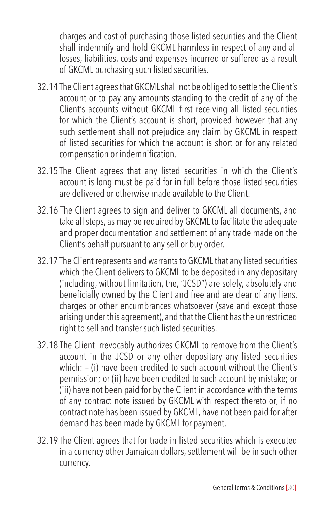charges and cost of purchasing those listed securities and the Client shall indemnify and hold GKCML harmless in respect of any and all losses, liabilities, costs and expenses incurred or suffered as a result of GKCML purchasing such listed securities.

- 32.14 The Client agrees that GKCML shall not be obliged to settle the Client's account or to pay any amounts standing to the credit of any of the Client's accounts without GKCML first receiving all listed securities for which the Client's account is short, provided however that any such settlement shall not prejudice any claim by GKCML in respect of listed securities for which the account is short or for any related compensation or indemnification.
- 32.15 The Client agrees that any listed securities in which the Client's account is long must be paid for in full before those listed securities are delivered or otherwise made available to the Client.
- 32.16 The Client agrees to sign and deliver to GKCML all documents, and take all steps, as may be required by GKCML to facilitate the adequate and proper documentation and settlement of any trade made on the Client's behalf pursuant to any sell or buy order.
- 32.17 The Client represents and warrants to GKCML that any listed securities which the Client delivers to GKCML to be deposited in any depositary (including, without limitation, the, "JCSD") are solely, absolutely and beneficially owned by the Client and free and are clear of any liens, charges or other encumbrances whatsoever (save and except those arising under this agreement), and that the Client has the unrestricted right to sell and transfer such listed securities.
- 32.18 The Client irrevocably authorizes GKCML to remove from the Client's account in the JCSD or any other depositary any listed securities which: – (i) have been credited to such account without the Client's permission; or (ii) have been credited to such account by mistake; or (iii) have not been paid for by the Client in accordance with the terms of any contract note issued by GKCML with respect thereto or, if no contract note has been issued by GKCML, have not been paid for after demand has been made by GKCML for payment.
- 32.19 The Client agrees that for trade in listed securities which is executed in a currency other Jamaican dollars, settlement will be in such other currency.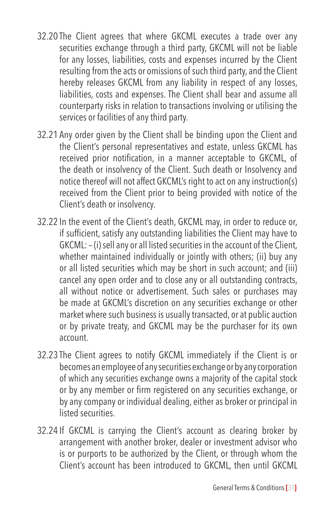- 32.20 The Client agrees that where GKCML executes a trade over any securities exchange through a third party, GKCML will not be liable for any losses, liabilities, costs and expenses incurred by the Client resulting from the acts or omissions of such third party, and the Client hereby releases GKCML from any liability in respect of any losses, liabilities, costs and expenses. The Client shall bear and assume all counterparty risks in relation to transactions involving or utilising the services or facilities of any third party.
- 32.21 Any order given by the Client shall be binding upon the Client and the Client's personal representatives and estate, unless GKCML has received prior notification, in a manner acceptable to GKCML, of the death or insolvency of the Client. Such death or Insolvency and notice thereof will not affect GKCML's right to act on any instruction(s) received from the Client prior to being provided with notice of the Client's death or insolvency.
- 32.22 In the event of the Client's death, GKCML may, in order to reduce or, if sufficient, satisfy any outstanding liabilities the Client may have to GKCML: – (i) sell any or all listed securities in the account of the Client, whether maintained individually or jointly with others; (ii) buy any or all listed securities which may be short in such account; and (iii) cancel any open order and to close any or all outstanding contracts, all without notice or advertisement. Such sales or purchases may be made at GKCML's discretion on any securities exchange or other market where such business is usually transacted, or at public auction or by private treaty, and GKCML may be the purchaser for its own account.
- 32.23 The Client agrees to notify GKCML immediately if the Client is or becomes an employee of any securities exchange or by any corporation of which any securities exchange owns a majority of the capital stock or by any member or firm registered on any securities exchange, or by any company or individual dealing, either as broker or principal in listed securities.
- 32.24 If GKCML is carrying the Client's account as clearing broker by arrangement with another broker, dealer or investment advisor who is or purports to be authorized by the Client, or through whom the Client's account has been introduced to GKCML, then until GKCML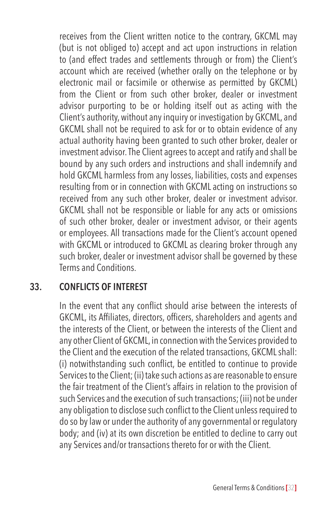receives from the Client written notice to the contrary, GKCML may (but is not obliged to) accept and act upon instructions in relation to (and effect trades and settlements through or from) the Client's account which are received (whether orally on the telephone or by electronic mail or facsimile or otherwise as permitted by GKCML) from the Client or from such other broker, dealer or investment advisor purporting to be or holding itself out as acting with the Client's authority, without any inquiry or investigation by GKCML, and GKCML shall not be required to ask for or to obtain evidence of any actual authority having been granted to such other broker, dealer or investment advisor. The Client agrees to accept and ratify and shall be bound by any such orders and instructions and shall indemnify and hold GKCML harmless from any losses, liabilities, costs and expenses resulting from or in connection with GKCML acting on instructions so received from any such other broker, dealer or investment advisor. GKCML shall not be responsible or liable for any acts or omissions of such other broker, dealer or investment advisor, or their agents or employees. All transactions made for the Client's account opened with GKCML or introduced to GKCML as clearing broker through any such broker, dealer or investment advisor shall be governed by these Terms and Conditions.

#### **33. CONFLICTS OF INTEREST**

In the event that any conflict should arise between the interests of GKCML, its Affiliates, directors, officers, shareholders and agents and the interests of the Client, or between the interests of the Client and any other Client of GKCML, in connection with the Services provided to the Client and the execution of the related transactions, GKCML shall: (i) notwithstanding such conflict, be entitled to continue to provide Services to the Client; (ii) take such actions as are reasonable to ensure the fair treatment of the Client's affairs in relation to the provision of such Services and the execution of such transactions; (iii) not be under any obligation to disclose such conflict to the Client unless required to do so by law or under the authority of any governmental or regulatory body; and (iv) at its own discretion be entitled to decline to carry out any Services and/or transactions thereto for or with the Client.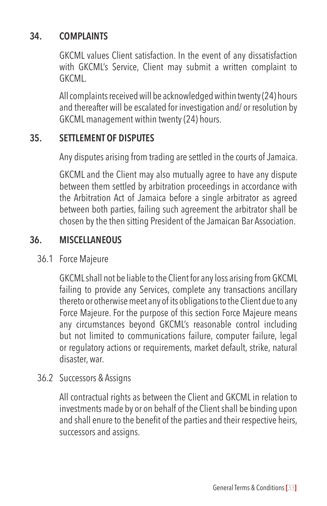#### **34. COMPLAINTS**

GKCML values Client satisfaction. In the event of any dissatisfaction with GKCML's Service, Client may submit a written complaint to GKCML.

All complaints received will be acknowledged within twenty (24) hours and thereafter will be escalated for investigation and/ or resolution by GKCML management within twenty (24) hours.

#### **35. SETTLEMENT OF DISPUTES**

Any disputes arising from trading are settled in the courts of Jamaica.

GKCML and the Client may also mutually agree to have any dispute between them settled by arbitration proceedings in accordance with the Arbitration Act of Jamaica before a single arbitrator as agreed between both parties, failing such agreement the arbitrator shall be chosen by the then sitting President of the Jamaican Bar Association.

#### **36. MISCELLANEOUS**

36.1 Force Majeure

GKCML shall not be liable to the Client for any loss arising from GKCML failing to provide any Services, complete any transactions ancillary thereto or otherwise meet any of its obligations to the Client due to any Force Majeure. For the purpose of this section Force Majeure means any circumstances beyond GKCML's reasonable control including but not limited to communications failure, computer failure, legal or regulatory actions or requirements, market default, strike, natural disaster, war.

36.2 Successors & Assigns

All contractual rights as between the Client and GKCML in relation to investments made by or on behalf of the Client shall be binding upon and shall enure to the benefit of the parties and their respective heirs, successors and assigns.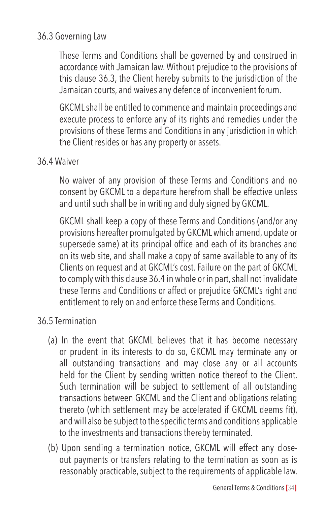#### 36.3 Governing Law

These Terms and Conditions shall be governed by and construed in accordance with Jamaican law. Without prejudice to the provisions of this clause 36.3, the Client hereby submits to the jurisdiction of the Jamaican courts, and waives any defence of inconvenient forum.

GKCML shall be entitled to commence and maintain proceedings and execute process to enforce any of its rights and remedies under the provisions of these Terms and Conditions in any jurisdiction in which the Client resides or has any property or assets.

#### 36.4 Waiver

No waiver of any provision of these Terms and Conditions and no consent by GKCML to a departure herefrom shall be effective unless and until such shall be in writing and duly signed by GKCML.

GKCML shall keep a copy of these Terms and Conditions (and/or any provisions hereafter promulgated by GKCML which amend, update or supersede same) at its principal office and each of its branches and on its web site, and shall make a copy of same available to any of its Clients on request and at GKCML's cost. Failure on the part of GKCML to comply with this clause 36.4 in whole or in part, shall not invalidate these Terms and Conditions or affect or prejudice GKCML's right and entitlement to rely on and enforce these Terms and Conditions.

# 36.5 Termination

- (a) In the event that GKCML believes that it has become necessary or prudent in its interests to do so, GKCML may terminate any or all outstanding transactions and may close any or all accounts held for the Client by sending written notice thereof to the Client. Such termination will be subject to settlement of all outstanding transactions between GKCML and the Client and obligations relating thereto (which settlement may be accelerated if GKCML deems fit), and will also be subject to the specific terms and conditions applicable to the investments and transactions thereby terminated.
- (b) Upon sending a termination notice, GKCML will effect any closeout payments or transfers relating to the termination as soon as is reasonably practicable, subject to the requirements of applicable law.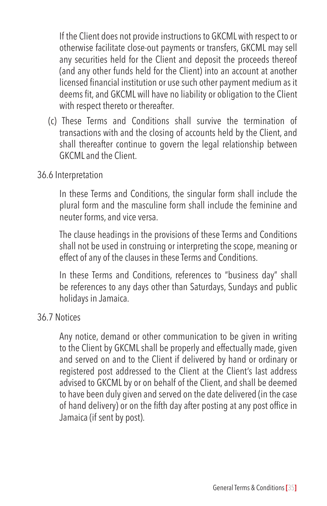If the Client does not provide instructions to GKCML with respect to or otherwise facilitate close-out payments or transfers, GKCML may sell any securities held for the Client and deposit the proceeds thereof (and any other funds held for the Client) into an account at another licensed financial institution or use such other payment medium as it deems fit, and GKCML will have no liability or obligation to the Client with respect thereto or thereafter.

(c) These Terms and Conditions shall survive the termination of transactions with and the closing of accounts held by the Client, and shall thereafter continue to govern the legal relationship between GKCML and the Client.

#### 36.6 Interpretation

In these Terms and Conditions, the singular form shall include the plural form and the masculine form shall include the feminine and neuter forms, and vice versa.

The clause headings in the provisions of these Terms and Conditions shall not be used in construing or interpreting the scope, meaning or effect of any of the clauses in these Terms and Conditions.

In these Terms and Conditions, references to "business day" shall be references to any days other than Saturdays, Sundays and public holidays in Jamaica.

#### 36.7 Notices

Any notice, demand or other communication to be given in writing to the Client by GKCML shall be properly and effectually made, given and served on and to the Client if delivered by hand or ordinary or registered post addressed to the Client at the Client's last address advised to GKCML by or on behalf of the Client, and shall be deemed to have been duly given and served on the date delivered (in the case of hand delivery) or on the fifth day after posting at any post office in Jamaica (if sent by post).